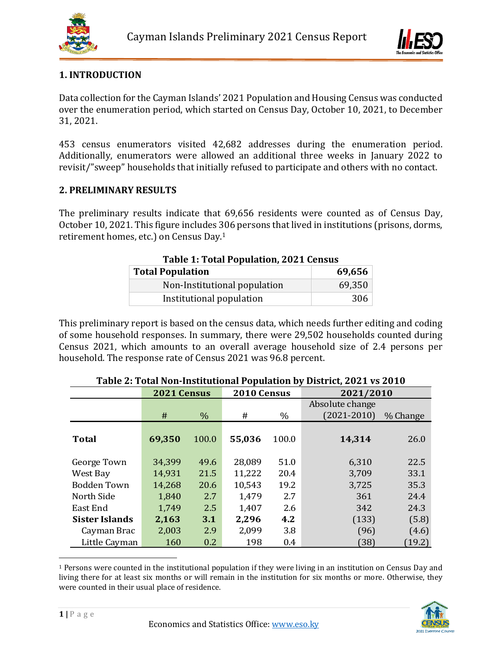



# **1. INTRODUCTION**

Data collection for the Cayman Islands' 2021 Population and Housing Census was conducted over the enumeration period, which started on Census Day, October 10, 2021, to December 31, 2021.

453 census enumerators visited 42,682 addresses during the enumeration period. Additionally, enumerators were allowed an additional three weeks in January 2022 to revisit/"sweep" households that initially refused to participate and others with no contact.

### **2. PRELIMINARY RESULTS**

The preliminary results indicate that 69,656 residents were counted as of Census Day, October 10, 2021. This figure includes 306 persons that lived in institutions (prisons, dorms, retirement homes, etc.) on Census Day. 1

| Table 1. Total I opulation, 2021 census |        |  |  |  |  |  |
|-----------------------------------------|--------|--|--|--|--|--|
| <b>Total Population</b>                 | 69,656 |  |  |  |  |  |
| Non-Institutional population            | 69,350 |  |  |  |  |  |
| Institutional population                | 306    |  |  |  |  |  |

| <b>Table 1: Total Population, 2021 Census</b> |  |  |
|-----------------------------------------------|--|--|
|                                               |  |  |

This preliminary report is based on the census data, which needs further editing and coding of some household responses. In summary, there were 29,502 households counted during Census 2021, which amounts to an overall average household size of 2.4 persons per household. The response rate of Census 2021 was 96.8 percent.

|                       | 2021 Census |                  | 2010 Census |       | 2021/2010       |          |  |  |  |
|-----------------------|-------------|------------------|-------------|-------|-----------------|----------|--|--|--|
|                       |             |                  |             |       | Absolute change |          |  |  |  |
|                       | #           | $\%$             | #           | $\%$  | $(2021 - 2010)$ | % Change |  |  |  |
|                       |             |                  |             |       |                 |          |  |  |  |
| <b>Total</b>          | 69,350      | 100.0            | 55,036      | 100.0 | 14,314          | 26.0     |  |  |  |
|                       |             |                  |             |       |                 |          |  |  |  |
| George Town           | 34,399      | 49.6             | 28,089      | 51.0  | 6,310           | 22.5     |  |  |  |
| West Bay              | 14,931      | 21.5             | 11,222      | 20.4  | 3,709           | 33.1     |  |  |  |
| <b>Bodden Town</b>    | 14,268      | 20.6             | 10,543      | 19.2  | 3,725           | 35.3     |  |  |  |
| North Side            | 1,840       | 2.7              | 1,479       | 2.7   | 361             | 24.4     |  |  |  |
| East End              | 1,749       | 2.5              | 1,407       | 2.6   | 342             | 24.3     |  |  |  |
| <b>Sister Islands</b> | 2,163       | 3.1              | 2,296       | 4.2   | (133)           | (5.8)    |  |  |  |
| Cayman Brac           | 2,003       | 2.9              | 2,099       | 3.8   | (96)            | (4.6)    |  |  |  |
| Little Cayman         | 160         | 0.2 <sub>0</sub> | 198         | 0.4   | 38              | (19.2)   |  |  |  |

# **Table 2: Total Non-Institutional Population by District, 2021 vs 2010**

 $\overline{a}$ <sup>1</sup> Persons were counted in the institutional population if they were living in an institution on Census Day and living there for at least six months or will remain in the institution for six months or more. Otherwise, they were counted in their usual place of residence.

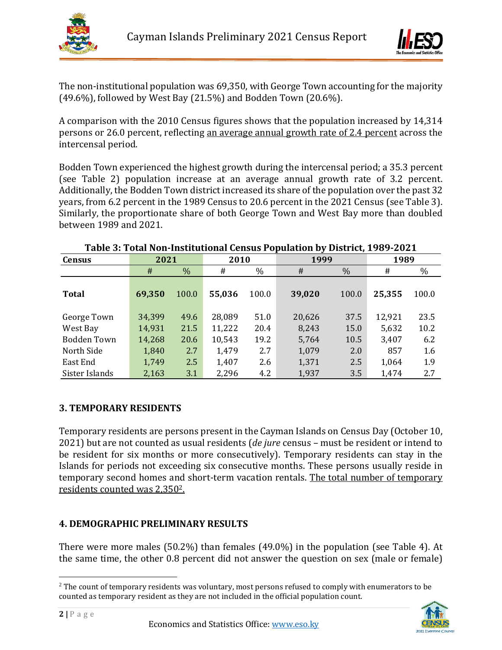



The non-institutional population was 69,350, with George Town accounting for the majority (49.6%), followed by West Bay (21.5%) and Bodden Town (20.6%).

A comparison with the 2010 Census figures shows that the population increased by 14,314 persons or 26.0 percent, reflecting an average annual growth rate of 2.4 percent across the intercensal period.

Bodden Town experienced the highest growth during the intercensal period; a 35.3 percent (see Table 2) population increase at an average annual growth rate of 3.2 percent. Additionally, the Bodden Town district increased its share of the population over the past 32 years, from 6.2 percent in the 1989 Census to 20.6 percent in the 2021 Census (see Table 3). Similarly, the proportionate share of both George Town and West Bay more than doubled between 1989 and 2021.

| <b>Census</b>                                                                                                                                                                                                                                                                                                                                                                                                                           | 2021   |               | 2010   |               | 1999   |               | 1989   |       |
|-----------------------------------------------------------------------------------------------------------------------------------------------------------------------------------------------------------------------------------------------------------------------------------------------------------------------------------------------------------------------------------------------------------------------------------------|--------|---------------|--------|---------------|--------|---------------|--------|-------|
|                                                                                                                                                                                                                                                                                                                                                                                                                                         | $\#$   | $\frac{0}{0}$ | #      | $\frac{0}{0}$ | #      | $\frac{0}{0}$ | #      | $\%$  |
| <b>Total</b>                                                                                                                                                                                                                                                                                                                                                                                                                            | 69,350 | 100.0         | 55,036 | 100.0         | 39,020 | 100.0         | 25,355 | 100.0 |
| George Town                                                                                                                                                                                                                                                                                                                                                                                                                             | 34,399 | 49.6          | 28,089 | 51.0          | 20,626 | 37.5          | 12,921 | 23.5  |
| West Bay                                                                                                                                                                                                                                                                                                                                                                                                                                | 14,931 | 21.5          | 11,222 | 20.4          | 8,243  | 15.0          | 5,632  | 10.2  |
| <b>Bodden Town</b>                                                                                                                                                                                                                                                                                                                                                                                                                      | 14,268 | 20.6          | 10,543 | 19.2          | 5,764  | 10.5          | 3,407  | 6.2   |
| North Side                                                                                                                                                                                                                                                                                                                                                                                                                              | 1,840  | 2.7           | 1,479  | 2.7           | 1,079  | 2.0           | 857    | 1.6   |
| East End                                                                                                                                                                                                                                                                                                                                                                                                                                | 1,749  | 2.5           | 1,407  | 2.6           | 1,371  | 2.5           | 1,064  | 1.9   |
| Sister Islands                                                                                                                                                                                                                                                                                                                                                                                                                          | 2,163  | 3.1           | 2,296  | 4.2           | 1,937  | 3.5           | 1,474  | 2.7   |
| 2021) but are not counted as usual residents ( <i>de jure</i> census – must be resident or intend to<br>be resident for six months or more consecutively). Temporary residents can stay in the<br>Islands for periods not exceeding six consecutive months. These persons usually reside in<br>temporary second homes and short-term vacation rentals. The total number of temporary<br><u>residents counted was 2.350<sup>2</sup>.</u> |        |               |        |               |        |               |        |       |
| <b>4. DEMOGRAPHIC PRELIMINARY RESULTS</b><br>There were more males (50.2%) than females (49.0%) in the population (see Table 4). At                                                                                                                                                                                                                                                                                                     |        |               |        |               |        |               |        |       |
| the same time, the other 0.8 percent did not answer the question on sex (male or female)<br>$^2$ The count of temporary residents was voluntary, most persons refused to comply with enumerators to be<br>counted as temporary resident as they are not included in the official population count.                                                                                                                                      |        |               |        |               |        |               |        |       |

#### **Table 3: Total Non-Institutional Census Population by District, 1989-2021**

### **3. TEMPORARY RESIDENTS**

# **4. DEMOGRAPHIC PRELIMINARY RESULTS**

<sup>&</sup>lt;sup>2</sup> The count of temporary residents was voluntary, most persons refused to comply with enumerators to be

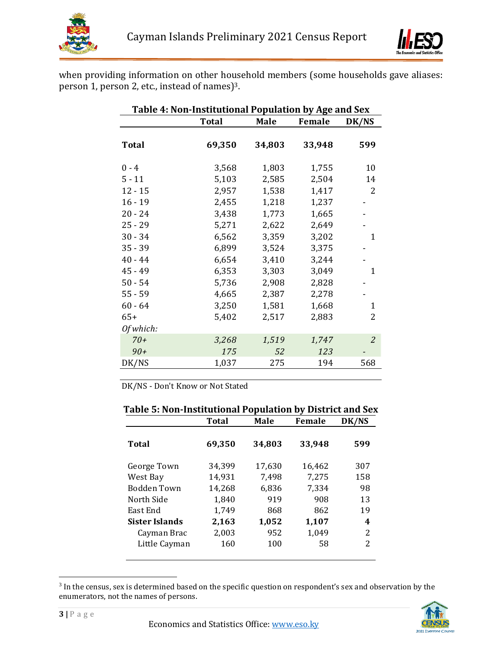



when providing information on other household members (some households gave aliases: person 1, person 2, etc., instead of names) 3.

| Table 4: Non-Institutional Population by Age and Sex |              |        |        |                |  |  |  |  |
|------------------------------------------------------|--------------|--------|--------|----------------|--|--|--|--|
|                                                      | <b>Total</b> | Male   | Female | DK/NS          |  |  |  |  |
| <b>Total</b>                                         | 69,350       | 34,803 | 33,948 | 599            |  |  |  |  |
| $0 - 4$                                              | 3,568        | 1,803  | 1,755  | 10             |  |  |  |  |
| $5 - 11$                                             | 5,103        | 2,585  | 2,504  | 14             |  |  |  |  |
| $12 - 15$                                            | 2,957        | 1,538  | 1,417  | 2              |  |  |  |  |
| $16 - 19$                                            | 2,455        | 1,218  | 1,237  |                |  |  |  |  |
| $20 - 24$                                            | 3,438        | 1,773  | 1,665  |                |  |  |  |  |
| $25 - 29$                                            | 5,271        | 2,622  | 2,649  |                |  |  |  |  |
| $30 - 34$                                            | 6,562        | 3,359  | 3,202  | 1              |  |  |  |  |
| $35 - 39$                                            | 6,899        | 3,524  | 3,375  |                |  |  |  |  |
| $40 - 44$                                            | 6,654        | 3,410  | 3,244  |                |  |  |  |  |
| $45 - 49$                                            | 6,353        | 3,303  | 3,049  | 1              |  |  |  |  |
| $50 - 54$                                            | 5,736        | 2,908  | 2,828  |                |  |  |  |  |
| $55 - 59$                                            | 4,665        | 2,387  | 2,278  |                |  |  |  |  |
| $60 - 64$                                            | 3,250        | 1,581  | 1,668  | 1              |  |  |  |  |
| $65+$                                                | 5,402        | 2,517  | 2,883  | 2              |  |  |  |  |
| Of which:                                            |              |        |        |                |  |  |  |  |
| $70+$                                                | 3,268        | 1,519  | 1,747  | $\overline{2}$ |  |  |  |  |
| $90+$                                                | 175          | 52     | 123    |                |  |  |  |  |
| DK/NS                                                | 1,037        | 275    | 194    | 568            |  |  |  |  |

DK/NS - Don't Know or Not Stated

|                | <b>Total</b> | <b>Male</b> | <b>Female</b> | DK/NS |
|----------------|--------------|-------------|---------------|-------|
| Total          | 69,350       | 34,803      | 33,948        | 599   |
| George Town    | 34,399       | 17,630      | 16,462        | 307   |
| West Bay       | 14,931       | 7,498       | 7,275         | 158   |
| Bodden Town    | 14,268       | 6,836       | 7,334         | 98    |
| North Side     | 1,840        | 919         | 908           | 13    |
| East End       | 1,749        | 868         | 862           | 19    |
| Sister Islands | 2,163        | 1,052       | 1,107         | 4     |
| Cayman Brac    | 2,003        | 952         | 1,049         | 2     |
| Little Cayman  | 160          | 100         | 58            | 2     |

### **Table 5: Non-Institutional Population by District and Sex**

 $3$  In the census, sex is determined based on the specific question on respondent's sex and observation by the enumerators, not the names of persons.



 $\overline{a}$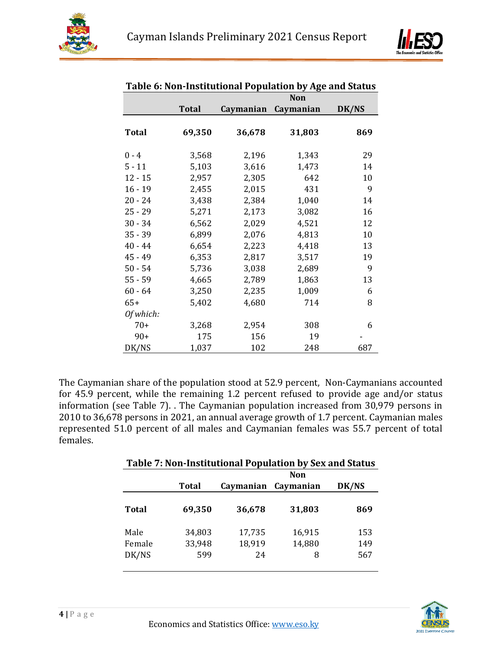



|              |              | <b>Non</b> |           |       |  |  |  |
|--------------|--------------|------------|-----------|-------|--|--|--|
|              | <b>Total</b> | Caymanian  | Caymanian | DK/NS |  |  |  |
| <b>Total</b> | 69,350       | 36,678     | 31,803    | 869   |  |  |  |
| $0 - 4$      | 3,568        | 2,196      | 1,343     | 29    |  |  |  |
| $5 - 11$     | 5,103        | 3,616      | 1,473     | 14    |  |  |  |
| $12 - 15$    | 2,957        | 2,305      | 642       | 10    |  |  |  |
| $16 - 19$    | 2,455        | 2,015      | 431       | 9     |  |  |  |
| $20 - 24$    | 3,438        | 2,384      | 1,040     | 14    |  |  |  |
| $25 - 29$    | 5,271        | 2,173      | 3,082     | 16    |  |  |  |
| $30 - 34$    | 6,562        | 2,029      | 4,521     | 12    |  |  |  |
| $35 - 39$    | 6,899        | 2,076      | 4,813     | 10    |  |  |  |
| $40 - 44$    | 6,654        | 2,223      | 4,418     | 13    |  |  |  |
| $45 - 49$    | 6,353        | 2,817      | 3,517     | 19    |  |  |  |
| $50 - 54$    | 5,736        | 3,038      | 2,689     | 9     |  |  |  |
| $55 - 59$    | 4,665        | 2,789      | 1,863     | 13    |  |  |  |
| $60 - 64$    | 3,250        | 2,235      | 1,009     | 6     |  |  |  |
| $65+$        | 5,402        | 4,680      | 714       | 8     |  |  |  |
| Of which:    |              |            |           |       |  |  |  |
| $70+$        | 3,268        | 2,954      | 308       | 6     |  |  |  |
| $90+$        | 175          | 156        | 19        |       |  |  |  |
| DK/NS        | 1,037        | 102        | 248       | 687   |  |  |  |

### **Table 6: Non-Institutional Population by Age and Status**

The Caymanian share of the population stood at 52.9 percent, Non-Caymanians accounted for 45.9 percent, while the remaining 1.2 percent refused to provide age and/or status information (see Table 7). . The Caymanian population increased from 30,979 persons in 2010 to 36,678 persons in 2021, an annual average growth of 1.7 percent. Caymanian males represented 51.0 percent of all males and Caymanian females was 55.7 percent of total females.

| Table 7: Non-Institutional Population by Sex and Status |        |            |           |       |  |  |  |  |
|---------------------------------------------------------|--------|------------|-----------|-------|--|--|--|--|
|                                                         |        | <b>Non</b> |           |       |  |  |  |  |
|                                                         | Total  | Caymanian  | Caymanian | DK/NS |  |  |  |  |
| Total                                                   | 69,350 | 36,678     | 31,803    | 869   |  |  |  |  |
| Male                                                    | 34,803 | 17,735     | 16,915    | 153   |  |  |  |  |
| Female                                                  | 33,948 | 18,919     | 14,880    | 149   |  |  |  |  |
| DK/NS                                                   | 599    | 24         | 8         | 567   |  |  |  |  |